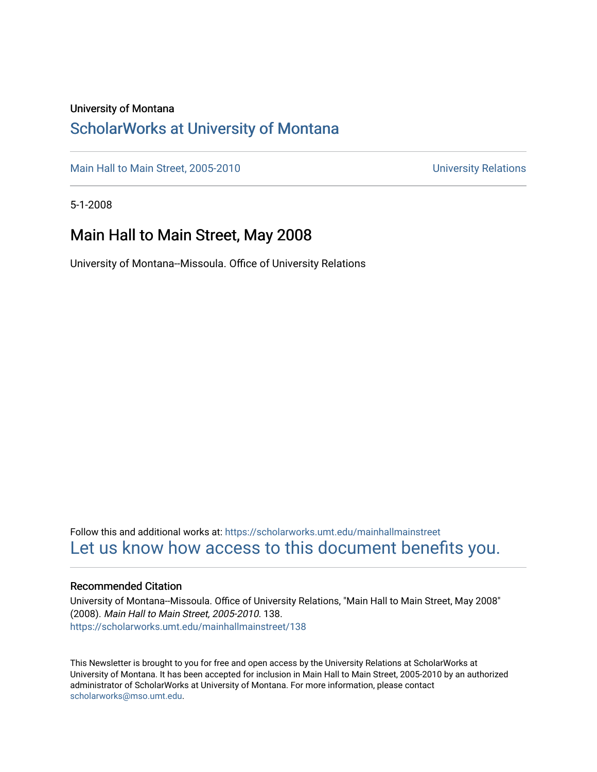### University of Montana

### [ScholarWorks at University of Montana](https://scholarworks.umt.edu/)

[Main Hall to Main Street, 2005-2010](https://scholarworks.umt.edu/mainhallmainstreet) Main Hall to Main Street, 2005-2010

5-1-2008

### Main Hall to Main Street, May 2008

University of Montana--Missoula. Office of University Relations

Follow this and additional works at: [https://scholarworks.umt.edu/mainhallmainstreet](https://scholarworks.umt.edu/mainhallmainstreet?utm_source=scholarworks.umt.edu%2Fmainhallmainstreet%2F138&utm_medium=PDF&utm_campaign=PDFCoverPages) [Let us know how access to this document benefits you.](https://goo.gl/forms/s2rGfXOLzz71qgsB2) 

### Recommended Citation

University of Montana--Missoula. Office of University Relations, "Main Hall to Main Street, May 2008" (2008). Main Hall to Main Street, 2005-2010. 138. [https://scholarworks.umt.edu/mainhallmainstreet/138](https://scholarworks.umt.edu/mainhallmainstreet/138?utm_source=scholarworks.umt.edu%2Fmainhallmainstreet%2F138&utm_medium=PDF&utm_campaign=PDFCoverPages)

This Newsletter is brought to you for free and open access by the University Relations at ScholarWorks at University of Montana. It has been accepted for inclusion in Main Hall to Main Street, 2005-2010 by an authorized administrator of ScholarWorks at University of Montana. For more information, please contact [scholarworks@mso.umt.edu.](mailto:scholarworks@mso.umt.edu)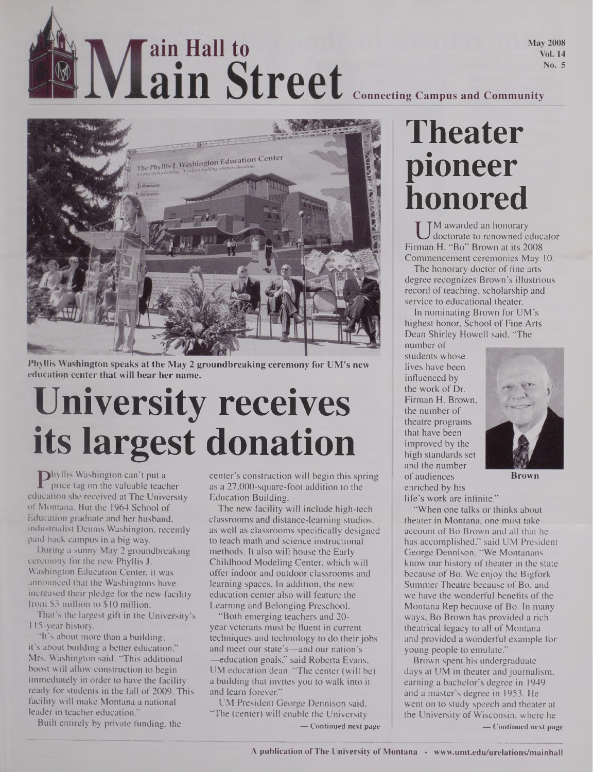# Main Street Connecting Campus and Community

**May 2008 Vol. 14** No. 5



**Phyllis Washington speaks at the May 2 groundbreaking ceremony for UM's new education center that will bear her name.**

# **University receives its largest donation**

Phyllis washington can t put a<br>
price tag on the valuable teacher a<br>
ucation she received at The University B hyllis Washington can't put a price tag on the valuable teacher of Montana. But the 1964 School of Education graduate and her husband, industrialist Dennis Washington, recently paid back campus in a big way.

During a sunny May 2 groundbreaking ceremony for the new Phyllis J. Washington Education Center, it was announced that the Washingtons have increased their pledge for the new facility from \$3 million to \$10 million.

That's the largest gift in the University's 115-year history.

"It's about more than a building; it's about building a better education," Mrs. Washington said. "This additional boost will allow construction to begin immediately in order to have the facility ready for students in the fall of 2009. This facility will make Montana a national leader in teacher education."

Built entirely by private funding, the

center's construction will begin this spring as a 27,000-square-foot addition to the Education Building.

The new facility will include high-tech classrooms and distance-learning studios, as well as classrooms specifically designed to teach math and science instructional methods. It also will house the Early Childhood Modeling Center, which will offer indoor and outdoor classrooms and learning spaces. In addition, the new education center also will feature the Learning and Belonging Preschool.

"Both emerging teachers and 20 year veterans must be fluent in current techniques and technology to do their jobs and meet our state's—and our nation's —education goals," said Roberta Evans, UM education dean. "The center (will be) a building that invites you to walk into it and learn forever."

UM President George Dennison said, "The (center) will enable the University **— Continued next page**

## **Theater pioneer honored**

U <sup>M</sup> awarded an nonorary<br>doctorate to renowned educator<br>man H. "Bo" Brown at its 2008 **TM** awarded an honorary doctorate to renowned educator Commencement ceremonies May 10.

The honorary doctor of fine arts degree recognizes Brown's illustrious record of teaching, scholarship and service to educational theater.

In nominating Brown for UM's highest honor, School of Fine Arts Dean Shirley Howell said, "The

number of students whose lives have been influenced by the work of Dr. Firman H. Brown, the number of theatre programs that have been improved by the high standards set and the number of audiences enriched by his



**Brown**

life's work are infinite."

"When one talks or thinks about theater in Montana, one must take account of Bo Brown and all that he has accomplished," said UM President George Dennison. "We Montanans know our history of theater in the state because of Bo. We enjoy the Bigfork Summer Theatre because of Bo, and we have the wonderful benefits of the Montana Rep because of Bo. In many ways, Bo Brown has provided a rich theatrical legacy to all of Montana and provided a wonderful example for young people to emulate."

Brown spent his undergraduate days at UM in theater and journalism, earning a bachelor's degree in 1949 and a master's degree in 1953. He went on to study speech and theater at the University of Wisconsin, where he **— Continued next page**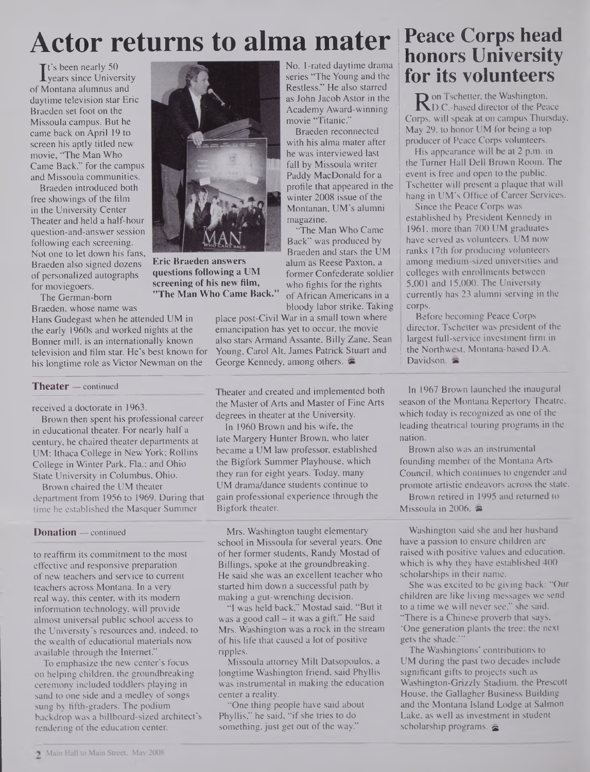### **Actor returns to alma mater**

It's been nearly 50<br>
years since Unive<br>
Montana alumnus a years since University of Montana alumnus and daytime television star Eric Braeden set foot on the Missoula campus. But he came back on April 19 to screen his aptly titled new movie, "The Man Who Came Back," for the campus and Missoula communities.

Braeden introduced both free showings of the film in the University Center Theater and held a half-hour question-and-answer session following each screening. Not one to let down his fans, Braeden also signed dozens of personalized autographs for moviegoers.

The German-bom Braeden, whose name was

Hans Gudegast when he attended UM in the early 1960s and worked nights at the Bonner mill, is an internationally known television and film star. He's best known for his longtime role as Victor Newman on the

### **Theater —** continued

received a doctorate in 1963.

Brown then spent his professional career in educational theater. For nearly half a century, he chaired theater departments at UM; Ithaca College in New York; Rollins College in Winter Park, Fla.; and Ohio State University in Columbus, Ohio.

Brown chaired the UM theater department from 1956 to 1969. During that time he established the Masquer Summer

### **Donation —** continued

to reaffirm its commitment to the most effective and responsive preparation of new teachers and service to current teachers across Montana. In a very real way, this center, with its modem information technology, will provide almost universal public school access to the University's resources and, indeed, to the wealth of educational materials now available through the Internet."

To emphasize the new center's focus on helping children, the groundbreaking ceremony included toddlers playing in sand to one side and a medley of songs sung by fifth-graders. The podium backdrop was a billboard-sized architect's rendering of the education center.



**Eric Braeden answers questions following a UM screening of his new film, "The Man Who Came Back."**

Restless." He also starred as John Jacob Astor in the Academy Award-winning movie "Titanic."

No. 1-rated daytime drama series "The Young and the

Braeden reconnected with his alma mater after he was interviewed last fall by Missoula writer Paddy MacDonald for a profile that appeared in the winter 2008 issue of the Montanan, UM's alumni magazine.

"The Man Who Came Back" was produced by Braeden and stars the UM alum as Reese Paxton, a former Confederate soldier who fights for the rights ofAfrican Americans in a bloody labor strike. Taking

place post-Civil War in a small town where emancipation has yet to occur, the movie also stars Armand Assante, Billy Zane, Sean Young, Carol Alt, James Patrick Stuart and George Kennedy, among others.

Theater and created and implemented both the Master of Arts and Master of Fine Arts degrees in theater at the University.

In 1960 Brown and his wife, the late Margery Hunter Brown, who later became a UM law professor, established the Bigfork Summer Playhouse, which they ran for eight years. Today, many UM drama/dance students continue to gain professional experience through the Bigfork theater.

Mrs. Washington taught elementary school in Missoula for several years. One of her former students, Randy Mostad of Billings, spoke at the groundbreaking. He said she was an excellent teacher who started him down a successful path by making a gut-wrenching decision.

"I was held back," Mostad said. "But it was a good call — it was a gift." He said Mrs. Washington was a rock in the stream of his life that caused a lot of positive ripples.

Missoula attorney Milt Datsopoulos, a longtime Washington friend, said Phyllis was instrumental in making the education center a reality.

"One thing people have said about Phyllis," he said, "if she tries to do something, just get out of the way."

### **Peace Corps head <sup>I</sup> honors University for its volunteers**

**R** on Tschetter, the Washington,<br>D.C.-based director of the Pea<br>orps, will speak at on campus Thur D.C.-based director of the Peace Corps, will speak at on campus Thursday, May 29, to honor UM for being a top producer of Peace Corps volunteers.

His appearance will be at 2 p.m. in the Turner Hall Dell Brown Room. The event is free and open to the public. Tschetter will present a plaque that will hang in UM's Office of Career Services.

Since the Peace Corps was established by President Kennedy in 1961, more than 700 UM graduates have served as volunteers. UM now ranks 17th for producing volunteers among medium-sized universities and colleges with enrollments between 5,001 and 15,000. The University currently has 23 alumni serving in the corps.

Before becoming Peace Corps director, Tschetter was president of the largest full-service investment firm in the Northwest, Montana-based D.A. Davidson.

In 1967 Brown launched the inaugural season of the Montana Repertory Theatre, which today is recognized as one of the leading theatrical touring programs in the nation.

Brown also was an instrumental founding member of the Montana Arts Council, which continues to engender and promote artistic endeavors across the state.

Brown retired in 1995 and returned to Missoula in 2006.

Washington said she and her husband have a passion to ensure children are raised with positive values and education, which is why they have established  $400$ scholarships in their name.

She was excited to be giving back: "Our children are like living messages we send to a time we will never see," she said. "There is a Chinese proverb that says, 'One generation plants the tree; the next gets the shade.

The Washingtons' contributions to UM during the past two decades include significant gifts to projects such as Washington-Grizzly Stadium, the Prescott House, the Gallagher Business Building and the Montana Island Lodge at Salmon Lake, as well as investment in student scholarship programs.  $\approx$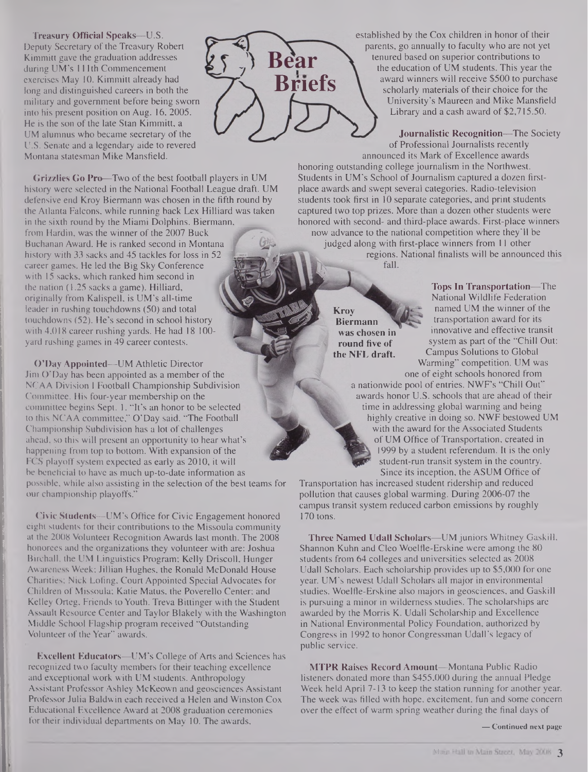**Treasury Official Speaks—U.S.** Deputy Secretary of the Treasury Robert Kimmitt gave the graduation addresses during UM's 111th Commencement exercises May 10. Kimmitt already had long and distinguished careers in both the military and government before being sworn into his present position on Aug. 16, 2005. He is the son of the late Stan Kimmitt, a UM alumnus who became secretary of the U.S. Senate and a legendary aide to revered Montana statesman Mike Mansfield.

Grizzlies Go Pro—Two of the best football players in UM history were selected in the National Football League draft. UM defensive end Kroy Biermann was chosen in the fifth round by the Atlanta Falcons, while running back Lex Hilliard was taken in the sixth round by the Miami Dolphins. Biermann, from Hardin, was the winner of the 2007 Buck Buchanan Award. He is ranked second in Montana history with 33 sacks and 45 tackles for loss in 52 career games. He led the Big Sky Conference with 15 sacks, which ranked him second in the nation (1.25 sacks a game). Hilliard, originally from Kalispell, is UM's all-time leader in rushing touchdowns (50) and total touchdowns (52). He's second in school history with 4,018 career rushing yards. He had 18 100 yard rushing games in 49 career contests.

O'Day Appointed—UM Athletic Director Jim O'Day has been appointed as a member of the NCAA Division I Football Championship Subdivision Committee. His four-year membership on the committee begins Sept. 1. "It's an honor to be selected to this NCAA committee," O'Day said. "The Football Championship Subdivision has a lot of challenges ahead, so this will present an opportunity to hear what's happening from top to bottom. With expansion of the FCS playoff system expected as early as 2010, it will be beneficial to have as much up-to-date information as possible, while also assisting in the selection of the best teams for our championship playoffs."

Civic Students—UM's Office for Civic Engagement honored eight students for their contributions to the Missoula community at the 2008 Volunteer Recognition Awards last month. The 2008 honorees and the organizations they volunteer with are: Joshua Birchall, the UM Linguistics Program; Kelly Driscoll, Hunger Awareness Week; Jillian Hughes, the Ronald McDonald House Charities; Nick Lofing, Court Appointed Special Advocates for Children of Missoula; Katie Matus, the Poverello Center; and Kelley Orteg, Friends to Youth. Treva Bittinger with the Student Assault Resource Center and Taylor Blakely with the Washington Middle School Flagship program received "Outstanding Volunteer of the Year" awards.

Excellent Educators-UM's College of Arts and Sciences has recognized two faculty members for their teaching excellence and exceptional work with UM students. Anthropology Assistant Professor Ashley McKeown and geosciences Assistant Professor Julia Baldwin each received a Helen and Winston Cox Educational Excellence Award at 2008 graduation ceremonies for their individual departments on May 10. The awards,



established by the Cox children in honor of their parents, go annually to faculty who are not yet tenured based on superior contributions to the education of UM students. This year the award winners will receive \$500 to purchase scholarly materials of their choice for the University's Maureen and Mike Mansfield Library and a cash award of \$2,715.50.

Journalistic Recognition—The Society of Professional Journalists recently announced its Mark of Excellence awards

honoring outstanding college journalism in the Northwest. Students in UM's School of Journalism captured a dozen firstplace awards and swept several categories. Radio-television students took first in 10 separate categories, and print students captured two top prizes. More than a dozen other students were honored with second- and third-place awards. First-place winners now advance to the national competition where they'll be judged along with first-place winners from 11 other regions. National finalists will be announced this fall.

> **Kroy Biermann was chosen in round five of the NFL draft.**

Tops In Transportation—The National Wildlife Federation named UM the winner of the transportation award for its innovative and effective transit system as part of the "Chill Out: Campus Solutions to Global Warming" competition. UM was

one of eight schools honored from a nationwide pool of entries. NWF's "Chill Out" awards honor U.S. schools that are ahead of their time in addressing global warming and being highly creative in doing so. NWF bestowed UM with the award for the Associated Students of UM Office of Transportation, created in 1999 by a student referendum. It is the only student-run transit system in the country. Since its inception, the ASUM Office of

Transportation has increased student ridership and reduced pollution that causes global warming. During 2006-07 the campus transit system reduced carbon emissions by roughly 170 tons.

Three Named Udall Scholars-UM juniors Whitney Gaskill, Shannon Kuhn and Cleo Woelfle-Erskine were among the 80 students from 64 colleges and universities selected as 2008 Udall Scholars. Each scholarship provides up to \$5,000 for one year. UM's newest Udall Scholars all major in environmental studies. Woelfle-Erskine also majors in geosciences, and Gaskill is pursuing a minor in wilderness studies. The scholarships are awarded by the Morris K. Udall Scholarship and Excellence in National Environmental Policy Foundation, authorized by Congress in 1992 to honor Congressman Udall's legacy of public service.

MTPR Raises Record Amount—Montana Public Radio listeners donated more than \$455,000 during the annual Pledge Week held April 7-13 to keep the station running for another year. The week was filled with hope, excitement, fun and some concern over the effect of warm spring weather during the final days of